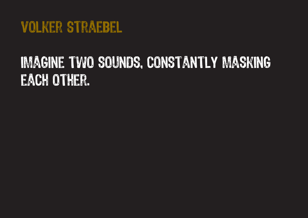#### Volker Straebel

## IMAGINE TWO SOUNDS, CONSTANTLY MASKING each other.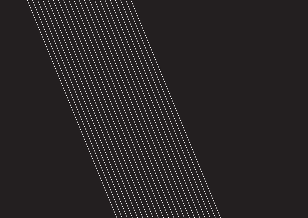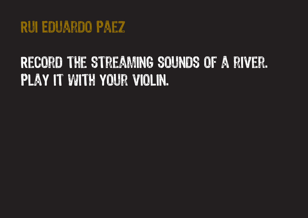

## Record the streaming sounds of a river. Play it with your violin.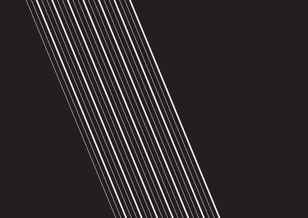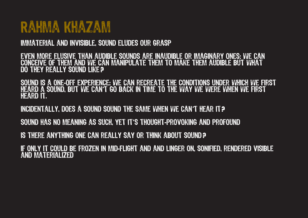#### Rahma Khazam

immaterial and invisible, sound eludes our grasp

even more elusive than audible sounds are inaudible or imaginary ones: we can conceive of them and we can manipulate them to make them audible but what do they really sound like ?

sound is a one-off experience: we can recreate the conditions under which we first heard a sound, but we can't go back in time to the way we were when we first heard it.

INCIDENTALLY, DOES A SOUND SOUND THE SAME WHEN WE CAN'T HEAR IT?

sound has no meaning as such, yet it's thought-provoking and profound

is there anything one can really say or think about sound ?

if only it could be frozen in mid-flight and and linger on, sonified, rendered visible and materialized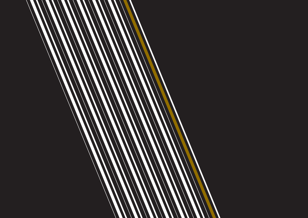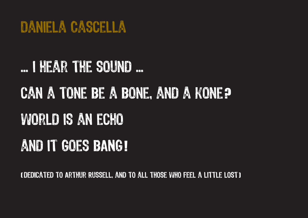### Daniela Cascella

#### ... I HEAR THE SOUND

# CAN A TONE BE A BONE, AND A KONE? world is an echo

## AND IT GOES BANG!

( dedicated to Arthur Russell, and to all those who feel a little lost )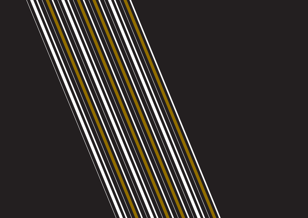![](_page_7_Picture_0.jpeg)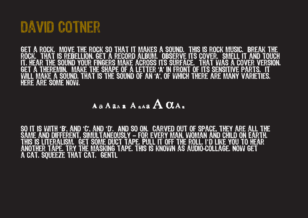#### DAVID COTNER

Get a rock. Move the rock so that it makes a sound. This is rock music. Break the rock. That is rebellion. Get a record album. Observe its cover. Smell it and touch it. Hear the sound your fingers make across its surface. That was a cover version. THEREMIN. MAKE THE SHAPE OF A LETTER 'A' IN FRONT OF ITS SENSITIVE PARTS. IT WAKE A SOUND. THAT IS THE SOUND OF AN 'A', OF WHICH THERE ARE MANY VARIETIES. Here are some now.

#### $A \circ A$  and  $A \circ A$  and  $A \circ A$

IS WITH 'B', AND 'C', AND 'D'. AND SO ON. CARVED OUT OF SPACE, THEY ARE ALL THE .<br>: AND DIFFERENT, SIMULTANEOUSLY — FOR EVERY MAN, WOMAN AND CHILD ON EARTH. different, simultaneously – for every man, woman ITERALISM. GET SOME DUCT TAPE. PULL IT OFF THE ROLL. I'D LIKE YOU TO HEAR. another tape. Try the masking tape. This is known as audio-collage. Now get a cat. Squeeze that cat. Gentl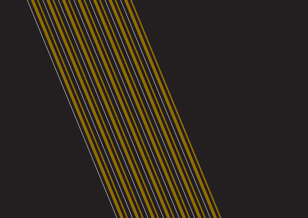![](_page_9_Picture_0.jpeg)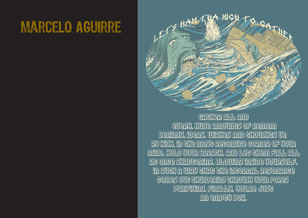#### Marcelo Aguirre

CNJHER NH-NID **eVery. HIER ANNOUNCE OF REMEM** DINNES. NONS. WISHES MD GHOUSHES UR <u>AT HEH. IN GHE MAEG ASCANDIGE CAMBER OF TOUR</u> <u>MND. HOLD YOUR ERRACH MD LIG GHIM FALL ALL</u> No ONCE SHOOCENNE. BLOUNNE NGTOE YOUNGELF. in such a WAY CHAG GH2 iNG2ANAL A2SONANG2 COMES OUS CHUNDERNE CHROUER YOUR PORES PURIFUND. FINNALL YOUNG JUST M TIME DK

H > NG +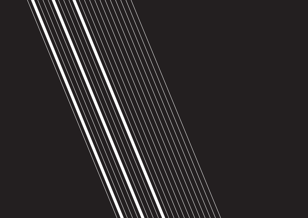![](_page_11_Picture_0.jpeg)